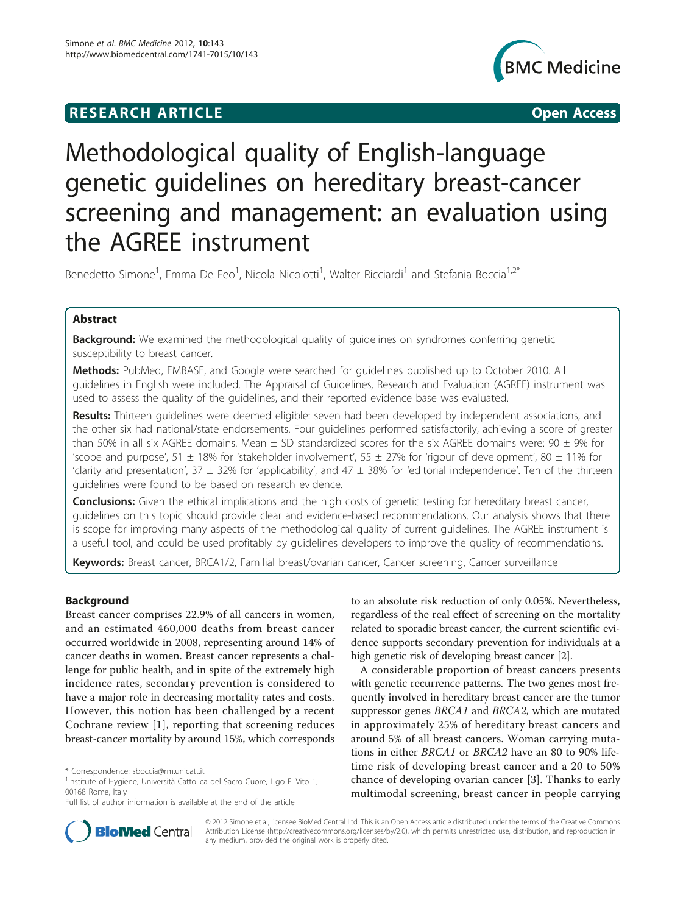## **RESEARCH ARTICLE Example 2014 CONSUMING ACCESS**



# Methodological quality of English-language genetic guidelines on hereditary breast-cancer screening and management: an evaluation using the AGREE instrument

Benedetto Simone<sup>1</sup>, Emma De Feo<sup>1</sup>, Nicola Nicolotti<sup>1</sup>, Walter Ricciardi<sup>1</sup> and Stefania Boccia<sup>1,2\*</sup>

## Abstract

**Background:** We examined the methodological quality of quidelines on syndromes conferring genetic susceptibility to breast cancer.

Methods: PubMed, EMBASE, and Google were searched for quidelines published up to October 2010. All guidelines in English were included. The Appraisal of Guidelines, Research and Evaluation (AGREE) instrument was used to assess the quality of the guidelines, and their reported evidence base was evaluated.

Results: Thirteen guidelines were deemed eligible: seven had been developed by independent associations, and the other six had national/state endorsements. Four guidelines performed satisfactorily, achieving a score of greater than 50% in all six AGREE domains. Mean  $\pm$  SD standardized scores for the six AGREE domains were: 90  $\pm$  9% for 'scope and purpose', 51  $\pm$  18% for 'stakeholder involvement', 55  $\pm$  27% for 'rigour of development', 80  $\pm$  11% for 'clarity and presentation', 37  $\pm$  32% for 'applicability', and 47  $\pm$  38% for 'editorial independence'. Ten of the thirteen guidelines were found to be based on research evidence.

**Conclusions:** Given the ethical implications and the high costs of genetic testing for hereditary breast cancer, guidelines on this topic should provide clear and evidence-based recommendations. Our analysis shows that there is scope for improving many aspects of the methodological quality of current guidelines. The AGREE instrument is a useful tool, and could be used profitably by guidelines developers to improve the quality of recommendations.

Keywords: Breast cancer, BRCA1/2, Familial breast/ovarian cancer, Cancer screening, Cancer surveillance

## Background

Breast cancer comprises 22.9% of all cancers in women, and an estimated 460,000 deaths from breast cancer occurred worldwide in 2008, representing around 14% of cancer deaths in women. Breast cancer represents a challenge for public health, and in spite of the extremely high incidence rates, secondary prevention is considered to have a major role in decreasing mortality rates and costs. However, this notion has been challenged by a recent Cochrane review [[1\]](#page-7-0), reporting that screening reduces breast-cancer mortality by around 15%, which corresponds

to an absolute risk reduction of only 0.05%. Nevertheless, regardless of the real effect of screening on the mortality related to sporadic breast cancer, the current scientific evidence supports secondary prevention for individuals at a high genetic risk of developing breast cancer [\[2](#page-7-0)].

A considerable proportion of breast cancers presents with genetic recurrence patterns. The two genes most frequently involved in hereditary breast cancer are the tumor suppressor genes BRCA1 and BRCA2, which are mutated in approximately 25% of hereditary breast cancers and around 5% of all breast cancers. Woman carrying mutations in either BRCA1 or BRCA2 have an 80 to 90% lifetime risk of developing breast cancer and a 20 to 50% chance of developing ovarian cancer [[3\]](#page-7-0). Thanks to early multimodal screening, breast cancer in people carrying



© 2012 Simone et al; licensee BioMed Central Ltd. This is an Open Access article distributed under the terms of the Creative Commons Attribution License [\(http://creativecommons.org/licenses/by/2.0](http://creativecommons.org/licenses/by/2.0)), which permits unrestricted use, distribution, and reproduction in any medium, provided the original work is properly cited.

<sup>\*</sup> Correspondence: [sboccia@rm.unicatt.it](mailto:sboccia@rm.unicatt.it)

<sup>&</sup>lt;sup>1</sup>Institute of Hygiene, Università Cattolica del Sacro Cuore, L.go F. Vito 1, 00168 Rome, Italy

Full list of author information is available at the end of the article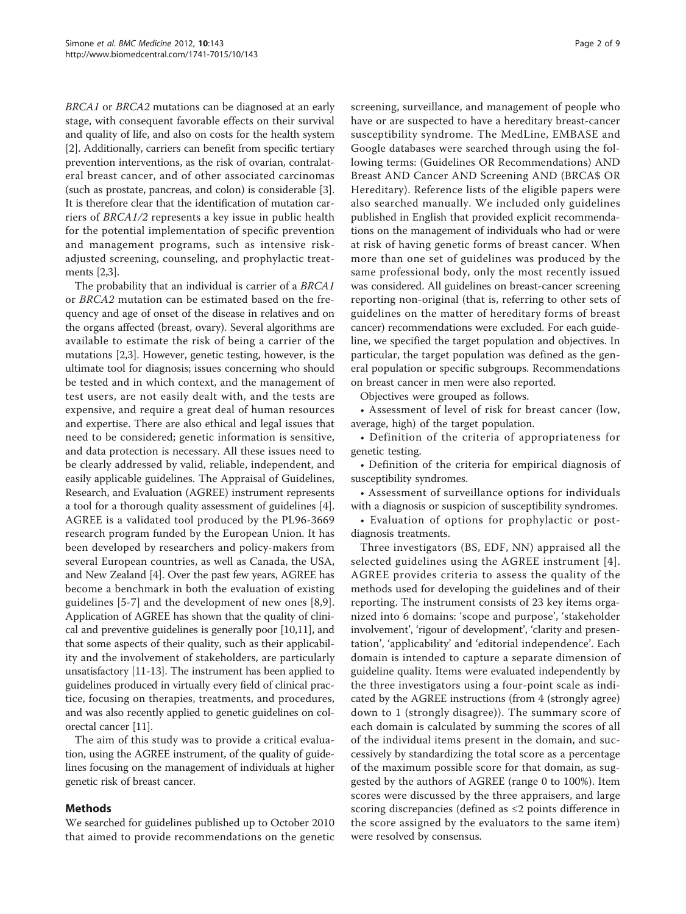BRCA1 or BRCA2 mutations can be diagnosed at an early stage, with consequent favorable effects on their survival and quality of life, and also on costs for the health system [[2\]](#page-7-0). Additionally, carriers can benefit from specific tertiary prevention interventions, as the risk of ovarian, contralateral breast cancer, and of other associated carcinomas (such as prostate, pancreas, and colon) is considerable [\[3](#page-7-0)]. It is therefore clear that the identification of mutation carriers of BRCA1/2 represents a key issue in public health for the potential implementation of specific prevention and management programs, such as intensive riskadjusted screening, counseling, and prophylactic treatments [[2,3](#page-7-0)].

The probability that an individual is carrier of a BRCA1 or BRCA2 mutation can be estimated based on the frequency and age of onset of the disease in relatives and on the organs affected (breast, ovary). Several algorithms are available to estimate the risk of being a carrier of the mutations [[2,3\]](#page-7-0). However, genetic testing, however, is the ultimate tool for diagnosis; issues concerning who should be tested and in which context, and the management of test users, are not easily dealt with, and the tests are expensive, and require a great deal of human resources and expertise. There are also ethical and legal issues that need to be considered; genetic information is sensitive, and data protection is necessary. All these issues need to be clearly addressed by valid, reliable, independent, and easily applicable guidelines. The Appraisal of Guidelines, Research, and Evaluation (AGREE) instrument represents a tool for a thorough quality assessment of guidelines [\[4](#page-7-0)]. AGREE is a validated tool produced by the PL96-3669 research program funded by the European Union. It has been developed by researchers and policy-makers from several European countries, as well as Canada, the USA, and New Zealand [[4\]](#page-7-0). Over the past few years, AGREE has become a benchmark in both the evaluation of existing guidelines [[5-7\]](#page-7-0) and the development of new ones [[8,9](#page-7-0)]. Application of AGREE has shown that the quality of clinical and preventive guidelines is generally poor [[10,11\]](#page-7-0), and that some aspects of their quality, such as their applicability and the involvement of stakeholders, are particularly unsatisfactory [\[11-13](#page-7-0)]. The instrument has been applied to guidelines produced in virtually every field of clinical practice, focusing on therapies, treatments, and procedures, and was also recently applied to genetic guidelines on colorectal cancer [\[11\]](#page-7-0).

The aim of this study was to provide a critical evaluation, using the AGREE instrument, of the quality of guidelines focusing on the management of individuals at higher genetic risk of breast cancer.

#### Methods

We searched for guidelines published up to October 2010 that aimed to provide recommendations on the genetic screening, surveillance, and management of people who have or are suspected to have a hereditary breast-cancer susceptibility syndrome. The MedLine, EMBASE and Google databases were searched through using the following terms: (Guidelines OR Recommendations) AND Breast AND Cancer AND Screening AND (BRCA\$ OR Hereditary). Reference lists of the eligible papers were also searched manually. We included only guidelines published in English that provided explicit recommendations on the management of individuals who had or were at risk of having genetic forms of breast cancer. When more than one set of guidelines was produced by the same professional body, only the most recently issued was considered. All guidelines on breast-cancer screening reporting non-original (that is, referring to other sets of guidelines on the matter of hereditary forms of breast cancer) recommendations were excluded. For each guideline, we specified the target population and objectives. In particular, the target population was defined as the general population or specific subgroups. Recommendations on breast cancer in men were also reported.

Objectives were grouped as follows.

• Assessment of level of risk for breast cancer (low, average, high) of the target population.

• Definition of the criteria of appropriateness for genetic testing.

• Definition of the criteria for empirical diagnosis of susceptibility syndromes.

• Assessment of surveillance options for individuals with a diagnosis or suspicion of susceptibility syndromes.

• Evaluation of options for prophylactic or postdiagnosis treatments.

Three investigators (BS, EDF, NN) appraised all the selected guidelines using the AGREE instrument [[4\]](#page-7-0). AGREE provides criteria to assess the quality of the methods used for developing the guidelines and of their reporting. The instrument consists of 23 key items organized into 6 domains: 'scope and purpose', 'stakeholder involvement', 'rigour of development', 'clarity and presentation', 'applicability' and 'editorial independence'. Each domain is intended to capture a separate dimension of guideline quality. Items were evaluated independently by the three investigators using a four-point scale as indicated by the AGREE instructions (from 4 (strongly agree) down to 1 (strongly disagree)). The summary score of each domain is calculated by summing the scores of all of the individual items present in the domain, and successively by standardizing the total score as a percentage of the maximum possible score for that domain, as suggested by the authors of AGREE (range 0 to 100%). Item scores were discussed by the three appraisers, and large scoring discrepancies (defined as ≤2 points difference in the score assigned by the evaluators to the same item) were resolved by consensus.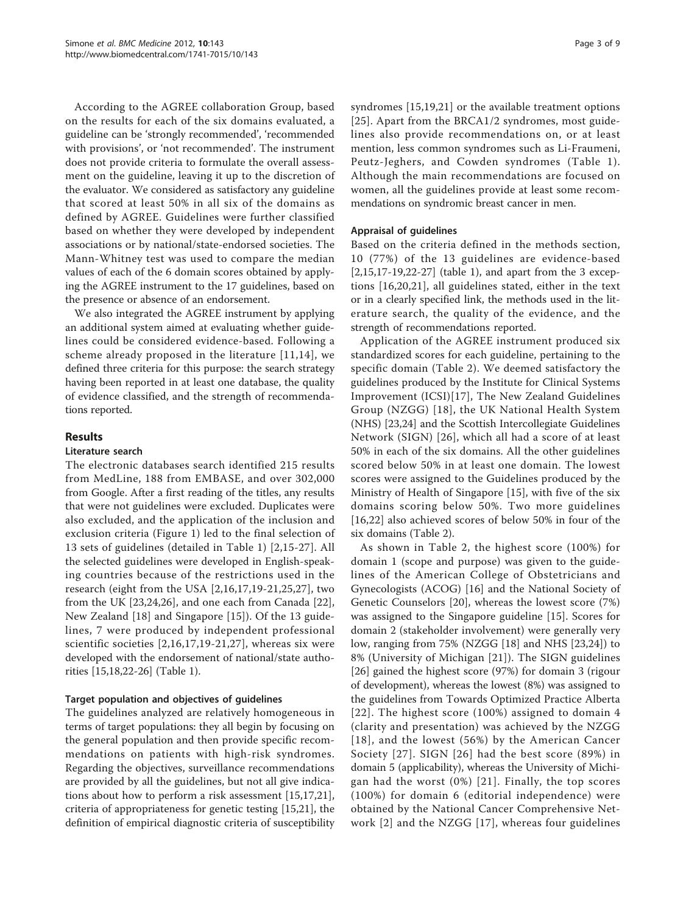According to the AGREE collaboration Group, based on the results for each of the six domains evaluated, a guideline can be 'strongly recommended', 'recommended with provisions', or 'not recommended'. The instrument does not provide criteria to formulate the overall assessment on the guideline, leaving it up to the discretion of the evaluator. We considered as satisfactory any guideline that scored at least 50% in all six of the domains as defined by AGREE. Guidelines were further classified based on whether they were developed by independent associations or by national/state-endorsed societies. The Mann-Whitney test was used to compare the median values of each of the 6 domain scores obtained by applying the AGREE instrument to the 17 guidelines, based on the presence or absence of an endorsement.

We also integrated the AGREE instrument by applying an additional system aimed at evaluating whether guidelines could be considered evidence-based. Following a scheme already proposed in the literature [\[11,14\]](#page-7-0), we defined three criteria for this purpose: the search strategy having been reported in at least one database, the quality of evidence classified, and the strength of recommendations reported.

## Results

### Literature search

The electronic databases search identified 215 results from MedLine, 188 from EMBASE, and over 302,000 from Google. After a first reading of the titles, any results that were not guidelines were excluded. Duplicates were also excluded, and the application of the inclusion and exclusion criteria (Figure [1\)](#page-3-0) led to the final selection of 13 sets of guidelines (detailed in Table [1](#page-4-0)) [[2,15-](#page-7-0)[27\]](#page-8-0). All the selected guidelines were developed in English-speaking countries because of the restrictions used in the research (eight from the USA [\[2](#page-7-0),[16,17,19](#page-7-0)-[21,25](#page-8-0),[27\]](#page-8-0), two from the UK [\[23](#page-8-0),[24](#page-8-0),[26\]](#page-8-0), and one each from Canada [\[22](#page-8-0)], New Zealand [[18](#page-7-0)] and Singapore [[15](#page-7-0)]). Of the 13 guidelines, 7 were produced by independent professional scientific societies [\[2](#page-7-0),[16,17,19](#page-7-0)-[21](#page-8-0),[27\]](#page-8-0), whereas six were developed with the endorsement of national/state authorities [[15](#page-7-0),[18](#page-7-0)[,22](#page-8-0)-[26](#page-8-0)] (Table [1](#page-4-0)).

## Target population and objectives of guidelines

The guidelines analyzed are relatively homogeneous in terms of target populations: they all begin by focusing on the general population and then provide specific recommendations on patients with high-risk syndromes. Regarding the objectives, surveillance recommendations are provided by all the guidelines, but not all give indications about how to perform a risk assessment [[15,17](#page-7-0)[,21](#page-8-0)], criteria of appropriateness for genetic testing [\[15](#page-7-0),[21](#page-8-0)], the definition of empirical diagnostic criteria of susceptibility syndromes [[15,19](#page-7-0),[21\]](#page-8-0) or the available treatment options [[25](#page-8-0)]. Apart from the BRCA1/2 syndromes, most guidelines also provide recommendations on, or at least mention, less common syndromes such as Li-Fraumeni, Peutz-Jeghers, and Cowden syndromes (Table [1\)](#page-4-0). Although the main recommendations are focused on women, all the guidelines provide at least some recommendations on syndromic breast cancer in men.

## Appraisal of guidelines

Based on the criteria defined in the methods section, 10 (77%) of the 13 guidelines are evidence-based [[2,15,17-19](#page-7-0)[,22](#page-8-0)-[27\]](#page-8-0) (table [1](#page-4-0)), and apart from the 3 exceptions [\[16](#page-7-0),[20,21](#page-8-0)], all guidelines stated, either in the text or in a clearly specified link, the methods used in the literature search, the quality of the evidence, and the strength of recommendations reported.

Application of the AGREE instrument produced six standardized scores for each guideline, pertaining to the specific domain (Table [2\)](#page-5-0). We deemed satisfactory the guidelines produced by the Institute for Clinical Systems Improvement (ICSI)[[17](#page-7-0)], The New Zealand Guidelines Group (NZGG) [[18](#page-7-0)], the UK National Health System (NHS) [\[23,24\]](#page-8-0) and the Scottish Intercollegiate Guidelines Network (SIGN) [[26](#page-8-0)], which all had a score of at least 50% in each of the six domains. All the other guidelines scored below 50% in at least one domain. The lowest scores were assigned to the Guidelines produced by the Ministry of Health of Singapore [\[15](#page-7-0)], with five of the six domains scoring below 50%. Two more guidelines [[16](#page-7-0)[,22](#page-8-0)] also achieved scores of below 50% in four of the six domains (Table [2](#page-5-0)).

As shown in Table [2](#page-5-0), the highest score (100%) for domain 1 (scope and purpose) was given to the guidelines of the American College of Obstetricians and Gynecologists (ACOG) [\[16](#page-7-0)] and the National Society of Genetic Counselors [\[20](#page-8-0)], whereas the lowest score (7%) was assigned to the Singapore guideline [[15\]](#page-7-0). Scores for domain 2 (stakeholder involvement) were generally very low, ranging from 75% (NZGG [[18\]](#page-7-0) and NHS [[23,24\]](#page-8-0)) to 8% (University of Michigan [\[21](#page-8-0)]). The SIGN guidelines [[26\]](#page-8-0) gained the highest score (97%) for domain 3 (rigour of development), whereas the lowest (8%) was assigned to the guidelines from Towards Optimized Practice Alberta [[22\]](#page-8-0). The highest score (100%) assigned to domain 4 (clarity and presentation) was achieved by the NZGG [[18](#page-7-0)], and the lowest (56%) by the American Cancer Society [[27\]](#page-8-0). SIGN [[26](#page-8-0)] had the best score (89%) in domain 5 (applicability), whereas the University of Michigan had the worst (0%) [[21](#page-8-0)]. Finally, the top scores (100%) for domain 6 (editorial independence) were obtained by the National Cancer Comprehensive Network [[2](#page-7-0)] and the NZGG [\[17\]](#page-7-0), whereas four guidelines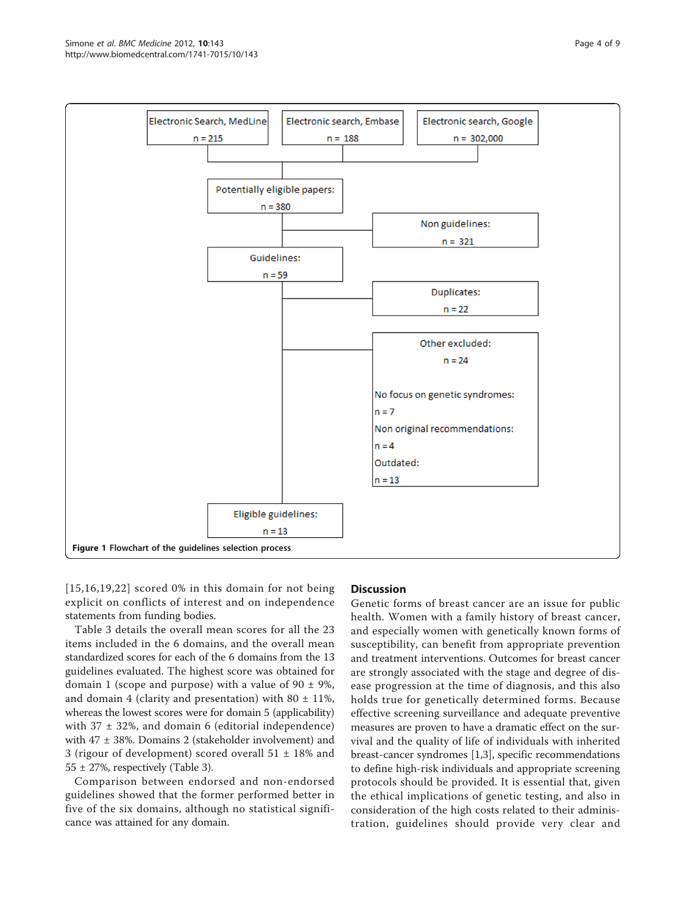<span id="page-3-0"></span>

[[15,16](#page-7-0),[19](#page-7-0),[22](#page-8-0)] scored 0% in this domain for not being explicit on conflicts of interest and on independence statements from funding bodies.

Table [3](#page-6-0) details the overall mean scores for all the 23 items included in the 6 domains, and the overall mean standardized scores for each of the 6 domains from the 13 guidelines evaluated. The highest score was obtained for domain 1 (scope and purpose) with a value of  $90 \pm 9\%$ , and domain 4 (clarity and presentation) with  $80 \pm 11\%$ , whereas the lowest scores were for domain 5 (applicability) with  $37 \pm 32$ %, and domain 6 (editorial independence) with 47 ± 38%. Domains 2 (stakeholder involvement) and 3 (rigour of development) scored overall 51 ± 18% and  $55 \pm 27\%$ , respectively (Table [3](#page-6-0)).

Comparison between endorsed and non-endorsed guidelines showed that the former performed better in five of the six domains, although no statistical significance was attained for any domain.

## **Discussion**

Genetic forms of breast cancer are an issue for public health. Women with a family history of breast cancer, and especially women with genetically known forms of susceptibility, can benefit from appropriate prevention and treatment interventions. Outcomes for breast cancer are strongly associated with the stage and degree of disease progression at the time of diagnosis, and this also holds true for genetically determined forms. Because effective screening surveillance and adequate preventive measures are proven to have a dramatic effect on the survival and the quality of life of individuals with inherited breast-cancer syndromes [\[1,3](#page-7-0)], specific recommendations to define high-risk individuals and appropriate screening protocols should be provided. It is essential that, given the ethical implications of genetic testing, and also in consideration of the high costs related to their administration, guidelines should provide very clear and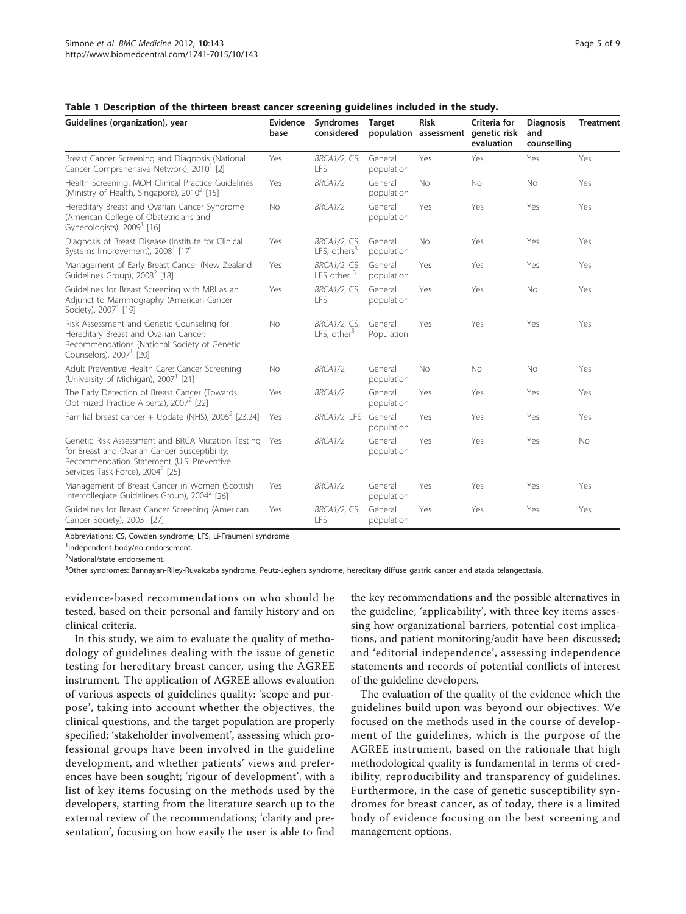<span id="page-4-0"></span>

| Table 1 Description of the thirteen breast cancer screening guidelines included in the study. |  |  |
|-----------------------------------------------------------------------------------------------|--|--|
|-----------------------------------------------------------------------------------------------|--|--|

| Guidelines (organization), year                                                                                                                                                                     | Evidence<br>base | Syndromes<br>considered                  | <b>Target</b><br>population | <b>Risk</b><br>assessment | Criteria for<br>genetic risk<br>evaluation | <b>Diagnosis</b><br>and<br>counselling | <b>Treatment</b> |
|-----------------------------------------------------------------------------------------------------------------------------------------------------------------------------------------------------|------------------|------------------------------------------|-----------------------------|---------------------------|--------------------------------------------|----------------------------------------|------------------|
| Breast Cancer Screening and Diagnosis (National<br>Cancer Comprehensive Network), 2010 <sup>1</sup> [2]                                                                                             | Yes              | <b>BRCA1/2, CS,</b><br>LFS               | General<br>population       | Yes                       | Yes                                        | Yes                                    | Yes              |
| Health Screening, MOH Clinical Practice Guidelines<br>(Ministry of Health, Singapore), 2010 <sup>2</sup> [15]                                                                                       | Yes              | BRCA1/2                                  | General<br>population       | No                        | <b>No</b>                                  | No                                     | Yes              |
| Hereditary Breast and Ovarian Cancer Syndrome<br>(American College of Obstetricians and<br>Gynecologists), 2009 <sup>1</sup> [16]                                                                   | No               | BRCA1/2                                  | General<br>population       | Yes                       | Yes                                        | Yes                                    | Yes              |
| Diagnosis of Breast Disease (Institute for Clinical<br>Systems Improvement), 2008 <sup>1</sup> [17]                                                                                                 | Yes              | BRCA1/2, CS,<br>LFS, others <sup>3</sup> | General<br>population       | No                        | Yes                                        | Yes                                    | Yes              |
| Management of Early Breast Cancer (New Zealand<br>Guidelines Group), 2008 <sup>2</sup> [18]                                                                                                         | Yes              | <b>BRCA1/2, CS,</b><br>LFS other $3$     | General<br>population       | Yes                       | Yes                                        | Yes                                    | Yes              |
| Guidelines for Breast Screening with MRI as an<br>Adjunct to Mammography (American Cancer<br>Society), 2007 <sup>1</sup> [19]                                                                       | Yes              | BRCA1/2, CS,<br>LFS                      | General<br>population       | Yes                       | Yes                                        | <b>No</b>                              | Yes              |
| Risk Assessment and Genetic Counseling for<br>Hereditary Breast and Ovarian Cancer:<br>Recommendations (National Society of Genetic<br>Counselors), 2007 <sup>1</sup> [20]                          | No               | <b>BRCA1/2, CS,</b><br>LFS, other $3$    | General<br>Population       | Yes                       | Yes                                        | Yes                                    | Yes              |
| Adult Preventive Health Care: Cancer Screening<br>(University of Michigan), 2007 <sup>1</sup> [21]                                                                                                  | <b>No</b>        | BRCA1/2                                  | General<br>population       | No                        | <b>No</b>                                  | <b>No</b>                              | Yes              |
| The Early Detection of Breast Cancer (Towards<br>Optimized Practice Alberta), 2007 <sup>2</sup> [22]                                                                                                | Yes              | BRCA1/2                                  | General<br>population       | Yes                       | Yes                                        | Yes                                    | Yes              |
| Familial breast cancer + Update (NHS), $2006^2$ [23,24]                                                                                                                                             | Yes              | BRCA1/2, LFS                             | General<br>population       | Yes                       | Yes                                        | Yes                                    | Yes              |
| Genetic Risk Assessment and BRCA Mutation Testing Yes<br>for Breast and Ovarian Cancer Susceptibility:<br>Recommendation Statement (U.S. Preventive<br>Services Task Force), 2004 <sup>2</sup> [25] |                  | BRCA1/2                                  | General<br>population       | Yes                       | Yes                                        | Yes                                    | <b>No</b>        |
| Management of Breast Cancer in Women (Scottish<br>Intercollegiate Guidelines Group), 2004 <sup>2</sup> [26]                                                                                         | Yes              | BRCA1/2                                  | General<br>population       | Yes                       | Yes                                        | Yes                                    | Yes              |
| Guidelines for Breast Cancer Screening (American<br>Cancer Society), 2003 <sup>1</sup> [27]                                                                                                         | Yes              | BRCA1/2, CS,<br>LFS                      | General<br>population       | Yes                       | Yes                                        | Yes                                    | Yes              |

Abbreviations: CS, Cowden syndrome; LFS, Li-Fraumeni syndrome

1 Independent body/no endorsement.

<sup>2</sup>National/state endorsement.

<sup>3</sup>Other syndromes: Bannayan-Riley-Ruvalcaba syndrome, Peutz-Jeghers syndrome, hereditary diffuse gastric cancer and ataxia telangectasia.

evidence-based recommendations on who should be tested, based on their personal and family history and on clinical criteria.

In this study, we aim to evaluate the quality of methodology of guidelines dealing with the issue of genetic testing for hereditary breast cancer, using the AGREE instrument. The application of AGREE allows evaluation of various aspects of guidelines quality: 'scope and purpose', taking into account whether the objectives, the clinical questions, and the target population are properly specified; 'stakeholder involvement', assessing which professional groups have been involved in the guideline development, and whether patients' views and preferences have been sought; 'rigour of development', with a list of key items focusing on the methods used by the developers, starting from the literature search up to the external review of the recommendations; 'clarity and presentation', focusing on how easily the user is able to find

the key recommendations and the possible alternatives in the guideline; 'applicability', with three key items assessing how organizational barriers, potential cost implications, and patient monitoring/audit have been discussed; and 'editorial independence', assessing independence statements and records of potential conflicts of interest of the guideline developers.

The evaluation of the quality of the evidence which the guidelines build upon was beyond our objectives. We focused on the methods used in the course of development of the guidelines, which is the purpose of the AGREE instrument, based on the rationale that high methodological quality is fundamental in terms of credibility, reproducibility and transparency of guidelines. Furthermore, in the case of genetic susceptibility syndromes for breast cancer, as of today, there is a limited body of evidence focusing on the best screening and management options.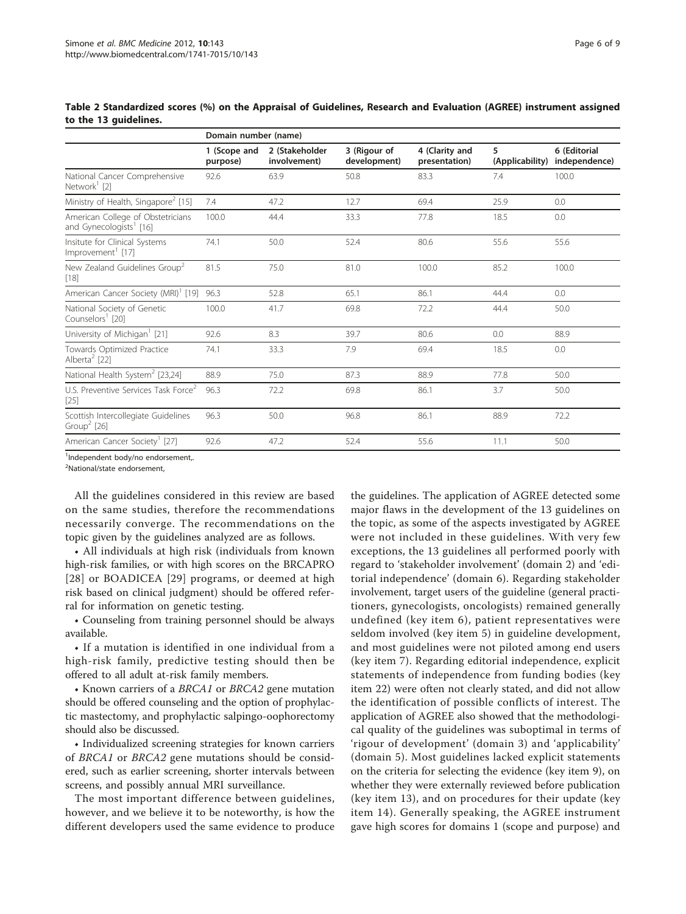|                                                                          | Domain number (name)     |                                |                              |                                 |                      |                               |
|--------------------------------------------------------------------------|--------------------------|--------------------------------|------------------------------|---------------------------------|----------------------|-------------------------------|
|                                                                          | 1 (Scope and<br>purpose) | 2 (Stakeholder<br>involvement) | 3 (Rigour of<br>development) | 4 (Clarity and<br>presentation) | 5<br>(Applicability) | 6 (Editorial<br>independence) |
| National Cancer Comprehensive<br>Network $\frac{1}{2}$ [2]               | 92.6                     | 63.9                           | 50.8                         | 83.3                            | 7.4                  | 100.0                         |
| Ministry of Health, Singapore <sup>2</sup> [15]                          | 7.4                      | 47.2                           | 12.7                         | 69.4                            | 25.9                 | 0.0                           |
| American College of Obstetricians<br>and Gynecologists <sup>1</sup> [16] | 100.0                    | 44.4                           | 33.3                         | 77.8                            | 18.5                 | 0.0                           |
| Insitute for Clinical Systems<br>Improvement <sup>1</sup> [17]           | 74.1                     | 50.0                           | 52.4                         | 80.6                            | 55.6                 | 55.6                          |
| New Zealand Guidelines Group <sup>2</sup><br>$[18]$                      | 81.5                     | 75.0                           | 81.0                         | 100.0                           | 85.2                 | 100.0                         |
| American Cancer Society (MRI) <sup>1</sup> [19]                          | 96.3                     | 52.8                           | 65.1                         | 86.1                            | 44.4                 | 0.0                           |
| National Society of Genetic<br>Counselors <sup>1</sup> [20]              | 100.0                    | 41.7                           | 69.8                         | 72.2                            | 44.4                 | 50.0                          |
| University of Michigan <sup>1</sup> [21]                                 | 92.6                     | 8.3                            | 39.7                         | 80.6                            | 0.0                  | 88.9                          |
| Towards Optimized Practice<br>Alberta <sup>2</sup> [22]                  | 74.1                     | 33.3                           | 7.9                          | 69.4                            | 18.5                 | 0.0                           |
| National Health System <sup>2</sup> [23,24]                              | 88.9                     | 75.0                           | 87.3                         | 88.9                            | 77.8                 | 50.0                          |
| U.S. Preventive Services Task Force <sup>2</sup><br>$[25]$               | 96.3                     | 72.2                           | 69.8                         | 86.1                            | 3.7                  | 50.0                          |
| Scottish Intercollegiate Guidelines<br>Group <sup>2</sup> [26]           | 96.3                     | 50.0                           | 96.8                         | 86.1                            | 88.9                 | 72.2                          |
| American Cancer Society <sup>1</sup> [27]                                | 92.6                     | 47.2                           | 52.4                         | 55.6                            | 11.1                 | 50.0                          |
|                                                                          |                          |                                |                              |                                 |                      |                               |

<span id="page-5-0"></span>Table 2 Standardized scores (%) on the Appraisal of Guidelines, Research and Evaluation (AGREE) instrument assigned to the 13 guidelines.

<sup>1</sup>Independent body/no endorsement,.

<sup>2</sup>National/state endorsement,

All the guidelines considered in this review are based on the same studies, therefore the recommendations necessarily converge. The recommendations on the topic given by the guidelines analyzed are as follows.

• All individuals at high risk (individuals from known high-risk families, or with high scores on the BRCAPRO [[28](#page-8-0)] or BOADICEA [\[29](#page-8-0)] programs, or deemed at high risk based on clinical judgment) should be offered referral for information on genetic testing.

• Counseling from training personnel should be always available.

• If a mutation is identified in one individual from a high-risk family, predictive testing should then be offered to all adult at-risk family members.

• Known carriers of a BRCA1 or BRCA2 gene mutation should be offered counseling and the option of prophylactic mastectomy, and prophylactic salpingo-oophorectomy should also be discussed.

• Individualized screening strategies for known carriers of BRCA1 or BRCA2 gene mutations should be considered, such as earlier screening, shorter intervals between screens, and possibly annual MRI surveillance.

The most important difference between guidelines, however, and we believe it to be noteworthy, is how the different developers used the same evidence to produce

the guidelines. The application of AGREE detected some major flaws in the development of the 13 guidelines on the topic, as some of the aspects investigated by AGREE were not included in these guidelines. With very few exceptions, the 13 guidelines all performed poorly with regard to 'stakeholder involvement' (domain 2) and 'editorial independence' (domain 6). Regarding stakeholder involvement, target users of the guideline (general practitioners, gynecologists, oncologists) remained generally undefined (key item 6), patient representatives were seldom involved (key item 5) in guideline development, and most guidelines were not piloted among end users (key item 7). Regarding editorial independence, explicit statements of independence from funding bodies (key item 22) were often not clearly stated, and did not allow the identification of possible conflicts of interest. The application of AGREE also showed that the methodological quality of the guidelines was suboptimal in terms of 'rigour of development' (domain 3) and 'applicability' (domain 5). Most guidelines lacked explicit statements on the criteria for selecting the evidence (key item 9), on whether they were externally reviewed before publication (key item 13), and on procedures for their update (key item 14). Generally speaking, the AGREE instrument gave high scores for domains 1 (scope and purpose) and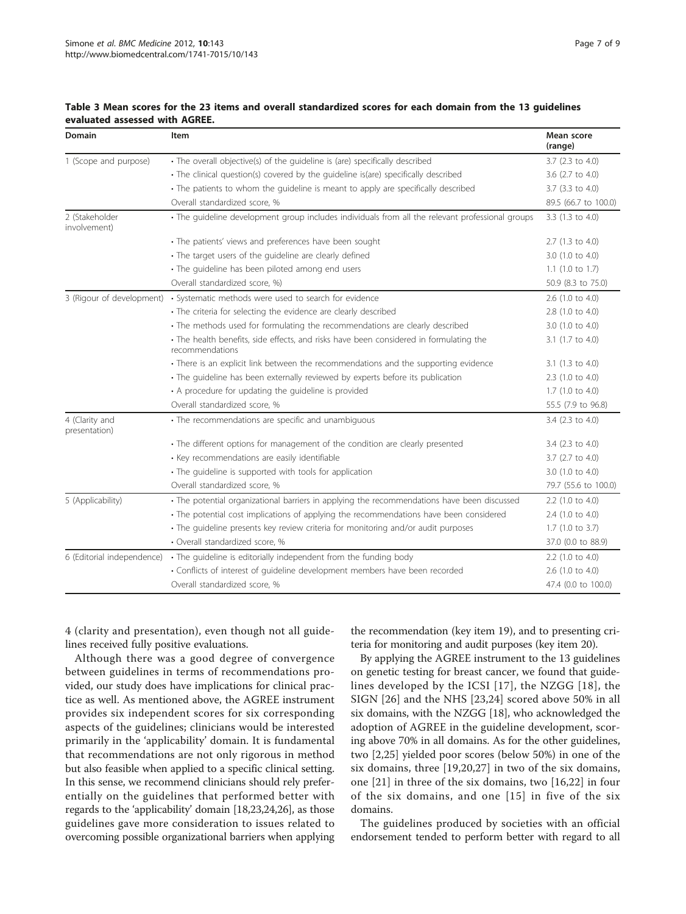| • The overall objective(s) of the quideline is (are) specifically described<br>3.7 (2.3 to 4.0)<br>· The clinical question(s) covered by the guideline is(are) specifically described<br>3.6 (2.7 to 4.0)<br>• The patients to whom the quideline is meant to apply are specifically described<br>3.7 (3.3 to 4.0)<br>Overall standardized score, %<br>89.5 (66.7 to 100.0)<br>· The quideline development group includes individuals from all the relevant professional groups<br>3.3 (1.3 to 4.0)<br>· The patients' views and preferences have been sought<br>2.7 (1.3 to 4.0)<br>• The target users of the guideline are clearly defined<br>3.0 (1.0 to 4.0)<br>· The quideline has been piloted among end users<br>1.1 $(1.0 \text{ to } 1.7)$<br>Overall standardized score, %)<br>50.9 (8.3 to 75.0)<br>• Systematic methods were used to search for evidence<br>2.6 (1.0 to 4.0)<br>• The criteria for selecting the evidence are clearly described<br>2.8 (1.0 to 4.0)<br>• The methods used for formulating the recommendations are clearly described<br>3.0 (1.0 to 4.0)<br>· The health benefits, side effects, and risks have been considered in formulating the<br>3.1 (1.7 to 4.0)<br>recommendations<br>• There is an explicit link between the recommendations and the supporting evidence<br>3.1 (1.3 to 4.0)<br>• The quideline has been externally reviewed by experts before its publication<br>2.3 (1.0 to 4.0)<br>• A procedure for updating the quideline is provided<br>$1.7$ (1.0 to 4.0)<br>Overall standardized score, %<br>55.5 (7.9 to 96.8)<br>· The recommendations are specific and unambiguous<br>3.4 (2.3 to 4.0)<br>• The different options for management of the condition are clearly presented<br>3.4 (2.3 to 4.0)<br>• Key recommendations are easily identifiable<br>3.7 (2.7 to 4.0)<br>· The quideline is supported with tools for application<br>3.0 (1.0 to 4.0)<br>Overall standardized score, %<br>79.7 (55.6 to 100.0)<br>• The potential organizational barriers in applying the recommendations have been discussed<br>$2.2$ (1.0 to 4.0)<br>• The potential cost implications of applying the recommendations have been considered<br>2.4 (1.0 to 4.0)<br>• The guideline presents key review criteria for monitoring and/or audit purposes<br>1.7 (1.0 to 3.7)<br>· Overall standardized score, %<br>37.0 (0.0 to 88.9)<br>• The quideline is editorially independent from the funding body<br>2.2 (1.0 to 4.0)<br>• Conflicts of interest of quideline development members have been recorded<br>2.6 (1.0 to 4.0)<br>Overall standardized score, %<br>47.4 (0.0 to 100.0) | <b>Domain</b>                   | Item | Mean score<br>(range) |
|--------------------------------------------------------------------------------------------------------------------------------------------------------------------------------------------------------------------------------------------------------------------------------------------------------------------------------------------------------------------------------------------------------------------------------------------------------------------------------------------------------------------------------------------------------------------------------------------------------------------------------------------------------------------------------------------------------------------------------------------------------------------------------------------------------------------------------------------------------------------------------------------------------------------------------------------------------------------------------------------------------------------------------------------------------------------------------------------------------------------------------------------------------------------------------------------------------------------------------------------------------------------------------------------------------------------------------------------------------------------------------------------------------------------------------------------------------------------------------------------------------------------------------------------------------------------------------------------------------------------------------------------------------------------------------------------------------------------------------------------------------------------------------------------------------------------------------------------------------------------------------------------------------------------------------------------------------------------------------------------------------------------------------------------------------------------------------------------------------------------------------------------------------------------------------------------------------------------------------------------------------------------------------------------------------------------------------------------------------------------------------------------------------------------------------------------------------------------------------------------------------------------------------------------------------------------------------------------------------------------------------|---------------------------------|------|-----------------------|
|                                                                                                                                                                                                                                                                                                                                                                                                                                                                                                                                                                                                                                                                                                                                                                                                                                                                                                                                                                                                                                                                                                                                                                                                                                                                                                                                                                                                                                                                                                                                                                                                                                                                                                                                                                                                                                                                                                                                                                                                                                                                                                                                                                                                                                                                                                                                                                                                                                                                                                                                                                                                                                | 1 (Scope and purpose)           |      |                       |
|                                                                                                                                                                                                                                                                                                                                                                                                                                                                                                                                                                                                                                                                                                                                                                                                                                                                                                                                                                                                                                                                                                                                                                                                                                                                                                                                                                                                                                                                                                                                                                                                                                                                                                                                                                                                                                                                                                                                                                                                                                                                                                                                                                                                                                                                                                                                                                                                                                                                                                                                                                                                                                |                                 |      |                       |
|                                                                                                                                                                                                                                                                                                                                                                                                                                                                                                                                                                                                                                                                                                                                                                                                                                                                                                                                                                                                                                                                                                                                                                                                                                                                                                                                                                                                                                                                                                                                                                                                                                                                                                                                                                                                                                                                                                                                                                                                                                                                                                                                                                                                                                                                                                                                                                                                                                                                                                                                                                                                                                |                                 |      |                       |
|                                                                                                                                                                                                                                                                                                                                                                                                                                                                                                                                                                                                                                                                                                                                                                                                                                                                                                                                                                                                                                                                                                                                                                                                                                                                                                                                                                                                                                                                                                                                                                                                                                                                                                                                                                                                                                                                                                                                                                                                                                                                                                                                                                                                                                                                                                                                                                                                                                                                                                                                                                                                                                |                                 |      |                       |
|                                                                                                                                                                                                                                                                                                                                                                                                                                                                                                                                                                                                                                                                                                                                                                                                                                                                                                                                                                                                                                                                                                                                                                                                                                                                                                                                                                                                                                                                                                                                                                                                                                                                                                                                                                                                                                                                                                                                                                                                                                                                                                                                                                                                                                                                                                                                                                                                                                                                                                                                                                                                                                | 2 (Stakeholder<br>involvement)  |      |                       |
|                                                                                                                                                                                                                                                                                                                                                                                                                                                                                                                                                                                                                                                                                                                                                                                                                                                                                                                                                                                                                                                                                                                                                                                                                                                                                                                                                                                                                                                                                                                                                                                                                                                                                                                                                                                                                                                                                                                                                                                                                                                                                                                                                                                                                                                                                                                                                                                                                                                                                                                                                                                                                                |                                 |      |                       |
|                                                                                                                                                                                                                                                                                                                                                                                                                                                                                                                                                                                                                                                                                                                                                                                                                                                                                                                                                                                                                                                                                                                                                                                                                                                                                                                                                                                                                                                                                                                                                                                                                                                                                                                                                                                                                                                                                                                                                                                                                                                                                                                                                                                                                                                                                                                                                                                                                                                                                                                                                                                                                                |                                 |      |                       |
|                                                                                                                                                                                                                                                                                                                                                                                                                                                                                                                                                                                                                                                                                                                                                                                                                                                                                                                                                                                                                                                                                                                                                                                                                                                                                                                                                                                                                                                                                                                                                                                                                                                                                                                                                                                                                                                                                                                                                                                                                                                                                                                                                                                                                                                                                                                                                                                                                                                                                                                                                                                                                                |                                 |      |                       |
|                                                                                                                                                                                                                                                                                                                                                                                                                                                                                                                                                                                                                                                                                                                                                                                                                                                                                                                                                                                                                                                                                                                                                                                                                                                                                                                                                                                                                                                                                                                                                                                                                                                                                                                                                                                                                                                                                                                                                                                                                                                                                                                                                                                                                                                                                                                                                                                                                                                                                                                                                                                                                                |                                 |      |                       |
|                                                                                                                                                                                                                                                                                                                                                                                                                                                                                                                                                                                                                                                                                                                                                                                                                                                                                                                                                                                                                                                                                                                                                                                                                                                                                                                                                                                                                                                                                                                                                                                                                                                                                                                                                                                                                                                                                                                                                                                                                                                                                                                                                                                                                                                                                                                                                                                                                                                                                                                                                                                                                                | 3 (Rigour of development)       |      |                       |
|                                                                                                                                                                                                                                                                                                                                                                                                                                                                                                                                                                                                                                                                                                                                                                                                                                                                                                                                                                                                                                                                                                                                                                                                                                                                                                                                                                                                                                                                                                                                                                                                                                                                                                                                                                                                                                                                                                                                                                                                                                                                                                                                                                                                                                                                                                                                                                                                                                                                                                                                                                                                                                |                                 |      |                       |
|                                                                                                                                                                                                                                                                                                                                                                                                                                                                                                                                                                                                                                                                                                                                                                                                                                                                                                                                                                                                                                                                                                                                                                                                                                                                                                                                                                                                                                                                                                                                                                                                                                                                                                                                                                                                                                                                                                                                                                                                                                                                                                                                                                                                                                                                                                                                                                                                                                                                                                                                                                                                                                |                                 |      |                       |
|                                                                                                                                                                                                                                                                                                                                                                                                                                                                                                                                                                                                                                                                                                                                                                                                                                                                                                                                                                                                                                                                                                                                                                                                                                                                                                                                                                                                                                                                                                                                                                                                                                                                                                                                                                                                                                                                                                                                                                                                                                                                                                                                                                                                                                                                                                                                                                                                                                                                                                                                                                                                                                |                                 |      |                       |
|                                                                                                                                                                                                                                                                                                                                                                                                                                                                                                                                                                                                                                                                                                                                                                                                                                                                                                                                                                                                                                                                                                                                                                                                                                                                                                                                                                                                                                                                                                                                                                                                                                                                                                                                                                                                                                                                                                                                                                                                                                                                                                                                                                                                                                                                                                                                                                                                                                                                                                                                                                                                                                |                                 |      |                       |
|                                                                                                                                                                                                                                                                                                                                                                                                                                                                                                                                                                                                                                                                                                                                                                                                                                                                                                                                                                                                                                                                                                                                                                                                                                                                                                                                                                                                                                                                                                                                                                                                                                                                                                                                                                                                                                                                                                                                                                                                                                                                                                                                                                                                                                                                                                                                                                                                                                                                                                                                                                                                                                |                                 |      |                       |
|                                                                                                                                                                                                                                                                                                                                                                                                                                                                                                                                                                                                                                                                                                                                                                                                                                                                                                                                                                                                                                                                                                                                                                                                                                                                                                                                                                                                                                                                                                                                                                                                                                                                                                                                                                                                                                                                                                                                                                                                                                                                                                                                                                                                                                                                                                                                                                                                                                                                                                                                                                                                                                |                                 |      |                       |
|                                                                                                                                                                                                                                                                                                                                                                                                                                                                                                                                                                                                                                                                                                                                                                                                                                                                                                                                                                                                                                                                                                                                                                                                                                                                                                                                                                                                                                                                                                                                                                                                                                                                                                                                                                                                                                                                                                                                                                                                                                                                                                                                                                                                                                                                                                                                                                                                                                                                                                                                                                                                                                |                                 |      |                       |
|                                                                                                                                                                                                                                                                                                                                                                                                                                                                                                                                                                                                                                                                                                                                                                                                                                                                                                                                                                                                                                                                                                                                                                                                                                                                                                                                                                                                                                                                                                                                                                                                                                                                                                                                                                                                                                                                                                                                                                                                                                                                                                                                                                                                                                                                                                                                                                                                                                                                                                                                                                                                                                | 4 (Clarity and<br>presentation) |      |                       |
|                                                                                                                                                                                                                                                                                                                                                                                                                                                                                                                                                                                                                                                                                                                                                                                                                                                                                                                                                                                                                                                                                                                                                                                                                                                                                                                                                                                                                                                                                                                                                                                                                                                                                                                                                                                                                                                                                                                                                                                                                                                                                                                                                                                                                                                                                                                                                                                                                                                                                                                                                                                                                                |                                 |      |                       |
|                                                                                                                                                                                                                                                                                                                                                                                                                                                                                                                                                                                                                                                                                                                                                                                                                                                                                                                                                                                                                                                                                                                                                                                                                                                                                                                                                                                                                                                                                                                                                                                                                                                                                                                                                                                                                                                                                                                                                                                                                                                                                                                                                                                                                                                                                                                                                                                                                                                                                                                                                                                                                                |                                 |      |                       |
|                                                                                                                                                                                                                                                                                                                                                                                                                                                                                                                                                                                                                                                                                                                                                                                                                                                                                                                                                                                                                                                                                                                                                                                                                                                                                                                                                                                                                                                                                                                                                                                                                                                                                                                                                                                                                                                                                                                                                                                                                                                                                                                                                                                                                                                                                                                                                                                                                                                                                                                                                                                                                                |                                 |      |                       |
|                                                                                                                                                                                                                                                                                                                                                                                                                                                                                                                                                                                                                                                                                                                                                                                                                                                                                                                                                                                                                                                                                                                                                                                                                                                                                                                                                                                                                                                                                                                                                                                                                                                                                                                                                                                                                                                                                                                                                                                                                                                                                                                                                                                                                                                                                                                                                                                                                                                                                                                                                                                                                                |                                 |      |                       |
|                                                                                                                                                                                                                                                                                                                                                                                                                                                                                                                                                                                                                                                                                                                                                                                                                                                                                                                                                                                                                                                                                                                                                                                                                                                                                                                                                                                                                                                                                                                                                                                                                                                                                                                                                                                                                                                                                                                                                                                                                                                                                                                                                                                                                                                                                                                                                                                                                                                                                                                                                                                                                                | 5 (Applicability)               |      |                       |
|                                                                                                                                                                                                                                                                                                                                                                                                                                                                                                                                                                                                                                                                                                                                                                                                                                                                                                                                                                                                                                                                                                                                                                                                                                                                                                                                                                                                                                                                                                                                                                                                                                                                                                                                                                                                                                                                                                                                                                                                                                                                                                                                                                                                                                                                                                                                                                                                                                                                                                                                                                                                                                |                                 |      |                       |
|                                                                                                                                                                                                                                                                                                                                                                                                                                                                                                                                                                                                                                                                                                                                                                                                                                                                                                                                                                                                                                                                                                                                                                                                                                                                                                                                                                                                                                                                                                                                                                                                                                                                                                                                                                                                                                                                                                                                                                                                                                                                                                                                                                                                                                                                                                                                                                                                                                                                                                                                                                                                                                |                                 |      |                       |
|                                                                                                                                                                                                                                                                                                                                                                                                                                                                                                                                                                                                                                                                                                                                                                                                                                                                                                                                                                                                                                                                                                                                                                                                                                                                                                                                                                                                                                                                                                                                                                                                                                                                                                                                                                                                                                                                                                                                                                                                                                                                                                                                                                                                                                                                                                                                                                                                                                                                                                                                                                                                                                |                                 |      |                       |
|                                                                                                                                                                                                                                                                                                                                                                                                                                                                                                                                                                                                                                                                                                                                                                                                                                                                                                                                                                                                                                                                                                                                                                                                                                                                                                                                                                                                                                                                                                                                                                                                                                                                                                                                                                                                                                                                                                                                                                                                                                                                                                                                                                                                                                                                                                                                                                                                                                                                                                                                                                                                                                | 6 (Editorial independence)      |      |                       |
|                                                                                                                                                                                                                                                                                                                                                                                                                                                                                                                                                                                                                                                                                                                                                                                                                                                                                                                                                                                                                                                                                                                                                                                                                                                                                                                                                                                                                                                                                                                                                                                                                                                                                                                                                                                                                                                                                                                                                                                                                                                                                                                                                                                                                                                                                                                                                                                                                                                                                                                                                                                                                                |                                 |      |                       |
|                                                                                                                                                                                                                                                                                                                                                                                                                                                                                                                                                                                                                                                                                                                                                                                                                                                                                                                                                                                                                                                                                                                                                                                                                                                                                                                                                                                                                                                                                                                                                                                                                                                                                                                                                                                                                                                                                                                                                                                                                                                                                                                                                                                                                                                                                                                                                                                                                                                                                                                                                                                                                                |                                 |      |                       |

#### <span id="page-6-0"></span>Table 3 Mean scores for the 23 items and overall standardized scores for each domain from the 13 guidelines evaluated assessed with AGREE.

4 (clarity and presentation), even though not all guidelines received fully positive evaluations.

Although there was a good degree of convergence between guidelines in terms of recommendations provided, our study does have implications for clinical practice as well. As mentioned above, the AGREE instrument provides six independent scores for six corresponding aspects of the guidelines; clinicians would be interested primarily in the 'applicability' domain. It is fundamental that recommendations are not only rigorous in method but also feasible when applied to a specific clinical setting. In this sense, we recommend clinicians should rely preferentially on the guidelines that performed better with regards to the 'applicability' domain [[18](#page-7-0)[,23,24,26](#page-8-0)], as those guidelines gave more consideration to issues related to overcoming possible organizational barriers when applying

the recommendation (key item 19), and to presenting criteria for monitoring and audit purposes (key item 20).

By applying the AGREE instrument to the 13 guidelines on genetic testing for breast cancer, we found that guidelines developed by the ICSI [\[17\]](#page-7-0), the NZGG [[18\]](#page-7-0), the SIGN [\[26](#page-8-0)] and the NHS [[23,24](#page-8-0)] scored above 50% in all six domains, with the NZGG [[18\]](#page-7-0), who acknowledged the adoption of AGREE in the guideline development, scoring above 70% in all domains. As for the other guidelines, two [\[2](#page-7-0)[,25](#page-8-0)] yielded poor scores (below 50%) in one of the six domains, three [[19](#page-7-0)[,20,27\]](#page-8-0) in two of the six domains, one [\[21](#page-8-0)] in three of the six domains, two [[16,](#page-7-0)[22](#page-8-0)] in four of the six domains, and one [[15](#page-7-0)] in five of the six domains.

The guidelines produced by societies with an official endorsement tended to perform better with regard to all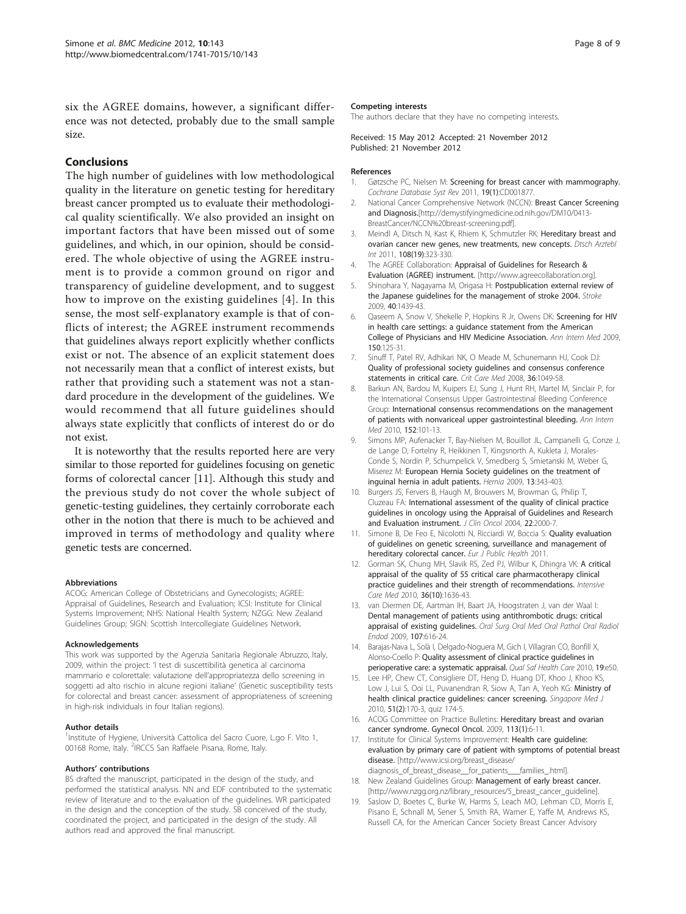<span id="page-7-0"></span>six the AGREE domains, however, a significant difference was not detected, probably due to the small sample size.

## Conclusions

The high number of guidelines with low methodological quality in the literature on genetic testing for hereditary breast cancer prompted us to evaluate their methodological quality scientifically. We also provided an insight on important factors that have been missed out of some guidelines, and which, in our opinion, should be considered. The whole objective of using the AGREE instrument is to provide a common ground on rigor and transparency of guideline development, and to suggest how to improve on the existing guidelines [4]. In this sense, the most self-explanatory example is that of conflicts of interest; the AGREE instrument recommends that guidelines always report explicitly whether conflicts exist or not. The absence of an explicit statement does not necessarily mean that a conflict of interest exists, but rather that providing such a statement was not a standard procedure in the development of the guidelines. We would recommend that all future guidelines should always state explicitly that conflicts of interest do or do not exist.

It is noteworthy that the results reported here are very similar to those reported for guidelines focusing on genetic forms of colorectal cancer [11]. Although this study and the previous study do not cover the whole subject of genetic-testing guidelines, they certainly corroborate each other in the notion that there is much to be achieved and improved in terms of methodology and quality where genetic tests are concerned.

#### Abbreviations

ACOG: American College of Obstetricians and Gynecologists; AGREE: Appraisal of Guidelines, Research and Evaluation; ICSI: Institute for Clinical Systems Improvement; NHS: National Health System; NZGG: New Zealand Guidelines Group; SIGN: Scottish Intercollegiate Guidelines Network.

#### Acknowledgements

This work was supported by the Agenzia Sanitaria Regionale Abruzzo, Italy, 2009, within the project: 'I test di suscettibilità genetica al carcinoma mammario e colorettale: valutazione dell'appropriatezza dello screening in soggetti ad alto rischio in alcune regioni italiane' (Genetic susceptibility tests for colorectal and breast cancer: assessment of appropriateness of screening in high-risk individuals in four Italian regions).

#### Author details

<sup>1</sup>Institute of Hygiene, Università Cattolica del Sacro Cuore, L.go F. Vito 1, 00168 Rome, Italy. <sup>2</sup>IRCCS San Raffaele Pisana, Rome, Italy.

#### Authors' contributions

BS drafted the manuscript, participated in the design of the study, and performed the statistical analysis. NN and EDF contributed to the systematic review of literature and to the evaluation of the guidelines. WR participated in the design and the conception of the study. SB conceived of the study, coordinated the project, and participated in the design of the study. All authors read and approved the final manuscript.

#### Competing interests

The authors declare that they have no competing interests.

Received: 15 May 2012 Accepted: 21 November 2012 Published: 21 November 2012

#### References

- 1. Gøtzsche PC, Nielsen M: Screening for breast cancer with mammography. Cochrane Database Syst Rev 2011, 19(1):CD001877.
- 2. National Cancer Comprehensive Network (NCCN): Breast Cancer Screening and Diagnosis.[\[http://demystifyingmedicine.od.nih.gov/DM10/0413-](http://demystifyingmedicine.od.nih.gov/DM10/0413-BreastCancer/NCCN%20breast-screening.pdf) [BreastCancer/NCCN%20breast-screening.pdf\]](http://demystifyingmedicine.od.nih.gov/DM10/0413-BreastCancer/NCCN%20breast-screening.pdf).
- 3. Meindl A, Ditsch N, Kast K, Rhiem K, Schmutzler RK: [Hereditary breast and](http://www.ncbi.nlm.nih.gov/pubmed/21637635?dopt=Abstract) [ovarian cancer new genes, new treatments, new concepts.](http://www.ncbi.nlm.nih.gov/pubmed/21637635?dopt=Abstract) Dtsch Arztebl Int 2011, 108(19):323-330.
- The AGREE Collaboration: Appraisal of Guidelines for Research & Evaluation (AGREE) instrument. [<http://www.agreecollaboration.org>].
- Shinohara Y, Nagayama M, Origasa H: [Postpublication external review of](http://www.ncbi.nlm.nih.gov/pubmed/19228839?dopt=Abstract) [the Japanese guidelines for the management of stroke 2004.](http://www.ncbi.nlm.nih.gov/pubmed/19228839?dopt=Abstract) Stroke 2009, 40:1439-43.
- Qaseem A, Snow V, Shekelle P, Hopkins R Jr, Owens DK: [Screening for HIV](http://www.ncbi.nlm.nih.gov/pubmed/19047022?dopt=Abstract) [in health care settings: a guidance statement from the American](http://www.ncbi.nlm.nih.gov/pubmed/19047022?dopt=Abstract) [College of Physicians and HIV Medicine Association.](http://www.ncbi.nlm.nih.gov/pubmed/19047022?dopt=Abstract) Ann Intern Med 2009, 150:125-31.
- 7. Sinuff T, Patel RV, Adhikari NK, O Meade M, Schunemann HJ, Cook DJ: [Quality of professional society guidelines and consensus conference](http://www.ncbi.nlm.nih.gov/pubmed/18379228?dopt=Abstract) [statements in critical care.](http://www.ncbi.nlm.nih.gov/pubmed/18379228?dopt=Abstract) Crit Care Med 2008, 36:1049-58.
- 8. Barkun AN, Bardou M, Kuipers EJ, Sung J, Hunt RH, Martel M, Sinclair P, for the International Consensus Upper Gastrointestinal Bleeding Conference Group: [International consensus recommendations on the management](http://www.ncbi.nlm.nih.gov/pubmed/20083829?dopt=Abstract) [of patients with nonvariceal upper gastrointestinal bleeding.](http://www.ncbi.nlm.nih.gov/pubmed/20083829?dopt=Abstract) Ann Intern Med 2010, 152:101-13.
- 9. Simons MP, Aufenacker T, Bay-Nielsen M, Bouillot JL, Campanelli G, Conze J, de Lange D, Fortelny R, Heikkinen T, Kingsnorth A, Kukleta J, Morales-Conde S, Nordin P, Schumpelick V, Smedberg S, Smietanski M, Weber G, Miserez M: [European Hernia Society guidelines on the treatment of](http://www.ncbi.nlm.nih.gov/pubmed/19636493?dopt=Abstract) [inguinal hernia in adult patients.](http://www.ncbi.nlm.nih.gov/pubmed/19636493?dopt=Abstract) Hernia 2009, 13:343-403.
- 10. Burgers JS, Fervers B, Haugh M, Brouwers M, Browman G, Philip T, Cluzeau FA: [International assessment of the quality of clinical practice](http://www.ncbi.nlm.nih.gov/pubmed/15143093?dopt=Abstract) [guidelines in oncology using the Appraisal of Guidelines and Research](http://www.ncbi.nlm.nih.gov/pubmed/15143093?dopt=Abstract) [and Evaluation instrument.](http://www.ncbi.nlm.nih.gov/pubmed/15143093?dopt=Abstract) J Clin Oncol 2004, 22:2000-7.
- 11. Simone B, De Feo E, Nicolotti N, Ricciardi W, Boccia S: Quality evaluation of guidelines on genetic screening, surveillance and management of hereditary colorectal cancer. Eur J Public Health 2011.
- 12. Gorman SK, Chung MH, Slavik RS, Zed PJ, Wilbur K, Dhingra VK: [A critical](http://www.ncbi.nlm.nih.gov/pubmed/20217048?dopt=Abstract) [appraisal of the quality of 55 critical care pharmacotherapy clinical](http://www.ncbi.nlm.nih.gov/pubmed/20217048?dopt=Abstract) [practice guidelines and their strength of recommendations.](http://www.ncbi.nlm.nih.gov/pubmed/20217048?dopt=Abstract) Intensive Care Med 2010, 36(10):1636-43.
- 13. van Diermen DE, Aartman IH, Baart JA, Hoogstraten J, van der Waal I: [Dental management of patients using antithrombotic drugs: critical](http://www.ncbi.nlm.nih.gov/pubmed/19426918?dopt=Abstract) [appraisal of existing guidelines.](http://www.ncbi.nlm.nih.gov/pubmed/19426918?dopt=Abstract) Oral Surg Oral Med Oral Pathol Oral Radiol Endod 2009, 107:616-24.
- 14. Barajas-Nava L, Solà I, Delgado-Noguera M, Gich I, Villagran CO, Bonfill X, Alonso-Coello P: [Quality assessment of clinical practice guidelines in](http://www.ncbi.nlm.nih.gov/pubmed/21127093?dopt=Abstract) [perioperative care: a systematic appraisal.](http://www.ncbi.nlm.nih.gov/pubmed/21127093?dopt=Abstract) Qual Saf Health Care 2010, 19:e50.
- 15. Lee HP, Chew CT, Consigliere DT, Heng D, Huang DT, Khoo J, Khoo KS, Low J, Lui S, Ooi LL, Puvanendran R, Siow A, Tan A, Yeoh KG: [Ministry of](http://www.ncbi.nlm.nih.gov/pubmed/20358158?dopt=Abstract) health [clinical practice guidelines: cancer screening.](http://www.ncbi.nlm.nih.gov/pubmed/20358158?dopt=Abstract) Singapore Med J 2010, 51(2):170-3, quiz 174-5.
- 16. ACOG Committee on Practice Bulletins: Hereditary breast and ovarian cancer syndrome. Gynecol Oncol. 2009, 113(1):6-11.
- 17. Institute for Clinical Systems Improvement: Health care guideline: evaluation by primary care of patient with symptoms of potential breast disease. [\[http://www.icsi.org/breast\\_disease/](http://www.icsi.org/breast_disease/diagnosis_of_breast_disease__for_patients___families_.html) [diagnosis\\_of\\_breast\\_disease\\_\\_for\\_patients\\_\\_\\_families\\_.html\]](http://www.icsi.org/breast_disease/diagnosis_of_breast_disease__for_patients___families_.html).
- 18. New Zealand Guidelines Group: Management of early breast cancer. [[http://www.nzgg.org.nz/library\\_resources/5\\_breast\\_cancer\\_guideline](http://www.nzgg.org.nz/library_resources/5_breast_cancer_guideline)].
- 19. Saslow D, Boetes C, Burke W, Harms S, Leach MO, Lehman CD, Morris E, Pisano E, Schnall M, Sener S, Smith RA, Warner E, Yaffe M, Andrews KS, Russell CA, for the American Cancer Society Breast Cancer Advisory